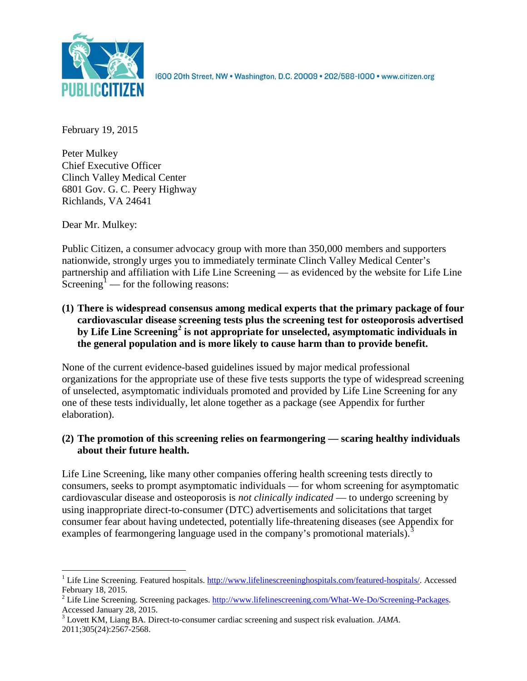

1600 20th Street, NW . Washington, D.C. 20009 . 202/588-1000 . www.citizen.org

February 19, 2015

Peter Mulkey Chief Executive Officer Clinch Valley Medical Center 6801 Gov. G. C. Peery Highway Richlands, VA 24641

Dear Mr. Mulkey:

Public Citizen, a consumer advocacy group with more than 350,000 members and supporters nationwide, strongly urges you to immediately terminate Clinch Valley Medical Center's partnership and affiliation with Life Line Screening — as evidenced by the website for Life Line Screening<sup>[1](#page-0-0)</sup> — for the following reasons:

**(1) There is widespread consensus among medical experts that the primary package of four cardiovascular disease screening tests plus the screening test for osteoporosis advertised by Life Line Screening[2](#page-0-1) is not appropriate for unselected, asymptomatic individuals in the general population and is more likely to cause harm than to provide benefit.**

None of the current evidence-based guidelines issued by major medical professional organizations for the appropriate use of these five tests supports the type of widespread screening of unselected, asymptomatic individuals promoted and provided by Life Line Screening for any one of these tests individually, let alone together as a package (see Appendix for further elaboration).

# **(2) The promotion of this screening relies on fearmongering — scaring healthy individuals about their future health.**

Life Line Screening, like many other companies offering health screening tests directly to consumers, seeks to prompt asymptomatic individuals — for whom screening for asymptomatic cardiovascular disease and osteoporosis is *not clinically indicated* — to undergo screening by using inappropriate direct-to-consumer (DTC) advertisements and solicitations that target consumer fear about having undetected, potentially life-threatening diseases (see Appendix for examples of fearmongering language used in the company's promotional materials).<sup>[3](#page-0-2)</sup>

<span id="page-0-0"></span><sup>&</sup>lt;sup>1</sup> Life Line Screening. Featured hospitals. [http://www.lifelinescreeninghospitals.com/featured-hospitals/.](http://www.lifelinescreeninghospitals.com/featured-hospitals/) Accessed

<span id="page-0-1"></span>February 18, 2015.<br><sup>2</sup> Life Line Screening. Screening packages. [http://www.lifelinescreening.com/What-We-Do/Screening-Packages.](http://www.lifelinescreening.com/What-We-Do/Screening-Packages)<br>Accessed January 28, 2015.

<span id="page-0-2"></span><sup>&</sup>lt;sup>3</sup> Lovett KM, Liang BA. Direct-to-consumer cardiac screening and suspect risk evaluation. *JAMA*. 2011;305(24):2567-2568.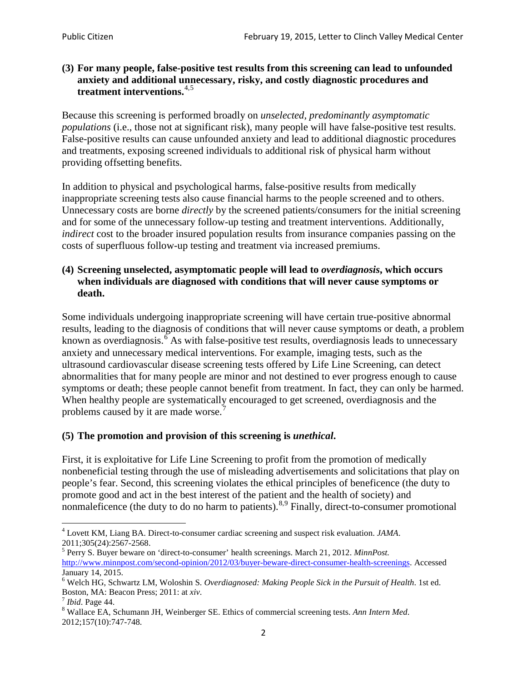### **(3) For many people, false-positive test results from this screening can lead to unfounded anxiety and additional unnecessary, risky, and costly diagnostic procedures and treatment interventions.**[4](#page-1-0),[5](#page-1-1)

Because this screening is performed broadly on *unselected, predominantly asymptomatic populations* (i.e., those not at significant risk), many people will have false**-**positive test results. False-positive results can cause unfounded anxiety and lead to additional diagnostic procedures and treatments, exposing screened individuals to additional risk of physical harm without providing offsetting benefits.

In addition to physical and psychological harms, false-positive results from medically inappropriate screening tests also cause financial harms to the people screened and to others. Unnecessary costs are borne *directly* by the screened patients/consumers for the initial screening and for some of the unnecessary follow-up testing and treatment interventions. Additionally, *indirect* cost to the broader insured population results from insurance companies passing on the costs of superfluous follow-up testing and treatment via increased premiums.

### **(4) Screening unselected, asymptomatic people will lead to** *overdiagnosis***, which occurs when individuals are diagnosed with conditions that will never cause symptoms or death.**

Some individuals undergoing inappropriate screening will have certain true-positive abnormal results, leading to the diagnosis of conditions that will never cause symptoms or death, a problem known as overdiagnosis.<sup>[6](#page-1-2)</sup> As with false-positive test results, overdiagnosis leads to unnecessary anxiety and unnecessary medical interventions. For example, imaging tests, such as the ultrasound cardiovascular disease screening tests offered by Life Line Screening, can detect abnormalities that for many people are minor and not destined to ever progress enough to cause symptoms or death; these people cannot benefit from treatment. In fact, they can only be harmed. When healthy people are systematically encouraged to get screened, overdiagnosis and the problems caused by it are made worse.<sup>[7](#page-1-3)</sup>

## **(5) The promotion and provision of this screening is** *unethical***.**

First, it is exploitative for Life Line Screening to profit from the promotion of medically nonbeneficial testing through the use of misleading advertisements and solicitations that play on people's fear. Second, this screening violates the ethical principles of beneficence (the duty to promote good and act in the best interest of the patient and the health of society) and nonmaleficence (the duty to do no harm to patients).  $8.9$  $8.9$  $8.9$  Finally, direct-to-consumer promotional

<span id="page-1-4"></span>2012;157(10):747-748.

<span id="page-1-5"></span><span id="page-1-0"></span><sup>4</sup> Lovett KM, Liang BA. Direct-to-consumer cardiac screening and suspect risk evaluation. *JAMA*.

<span id="page-1-1"></span><sup>2011;305(24):2567-2568.</sup> <sup>5</sup> Perry S. Buyer beware on 'direct-to-consumer' health screenings. March 21, 2012. *MinnPost.*  [http://www.minnpost.com/second-opinion/2012/03/buyer-beware-direct-consumer-health-screenings.](http://www.minnpost.com/second-opinion/2012/03/buyer-beware-direct-consumer-health-screenings) Accessed January 14, 2015.

<span id="page-1-2"></span><sup>6</sup> Welch HG, Schwartz LM, Woloshin S. *Overdiagnosed: Making People Sick in the Pursuit of Health*. 1st ed. Boston, MA: Beacon Press; 2011: at *xiv*.<br><sup>7</sup> *Ibid*. Page 44.<br><sup>8</sup> Wallace EA, Schumann JH, Weinberger SE. Ethics of commercial screening tests. *Ann Intern Med*.

<span id="page-1-3"></span>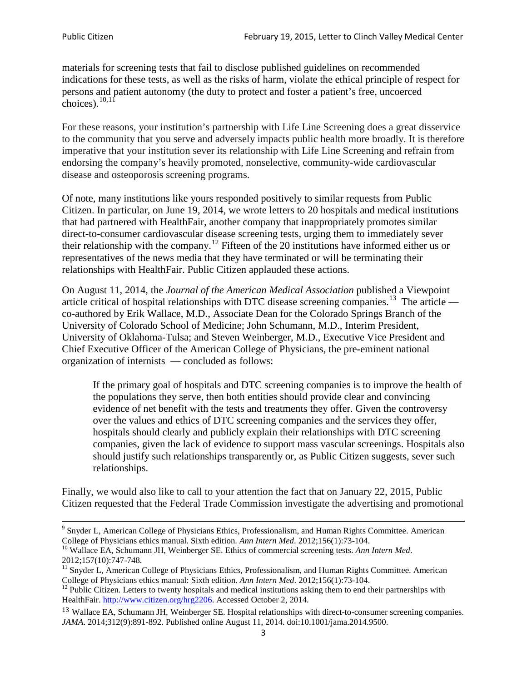materials for screening tests that fail to disclose published guidelines on recommended indications for these tests, as well as the risks of harm, violate the ethical principle of respect for persons and patient autonomy (the duty to protect and foster a patient's free, uncoerced choices). $\frac{10,11}{10,11}$  $\frac{10,11}{10,11}$  $\frac{10,11}{10,11}$  $\frac{10,11}{10,11}$ 

For these reasons, your institution's partnership with Life Line Screening does a great disservice to the community that you serve and adversely impacts public health more broadly. It is therefore imperative that your institution sever its relationship with Life Line Screening and refrain from endorsing the company's heavily promoted, nonselective, community**-**wide cardiovascular disease and osteoporosis screening programs.

Of note, many institutions like yours responded positively to similar requests from Public Citizen. In particular, on June 19, 2014, we wrote letters to 20 hospitals and medical institutions that had partnered with HealthFair, another company that inappropriately promotes similar direct-to-consumer cardiovascular disease screening tests, urging them to immediately sever their relationship with the company. [12](#page-2-2) Fifteen of the 20 institutions have informed either us or representatives of the news media that they have terminated or will be terminating their relationships with HealthFair. Public Citizen applauded these actions.

On August 11, 2014, the *Journal of the American Medical Association* published a Viewpoint article critical of hospital relationships with DTC disease screening companies.<sup>13</sup> The article co-authored by Erik Wallace, M.D., Associate Dean for the Colorado Springs Branch of the University of Colorado School of Medicine; John Schumann, M.D., Interim President, University of Oklahoma-Tulsa; and Steven Weinberger, M.D., Executive Vice President and Chief Executive Officer of the American College of Physicians, the pre**-**eminent national organization of internists — concluded as follows:

If the primary goal of hospitals and DTC screening companies is to improve the health of the populations they serve, then both entities should provide clear and convincing evidence of net benefit with the tests and treatments they offer. Given the controversy over the values and ethics of DTC screening companies and the services they offer, hospitals should clearly and publicly explain their relationships with DTC screening companies, given the lack of evidence to support mass vascular screenings. Hospitals also should justify such relationships transparently or, as Public Citizen suggests, sever such relationships.

Finally, we would also like to call to your attention the fact that on January 22, 2015, Public Citizen requested that the Federal Trade Commission investigate the advertising and promotional

<sup>&</sup>lt;sup>9</sup> Snyder L, American College of Physicians Ethics, Professionalism, and Human Rights Committee. American College of Physicians ethics manual. Sixth edition. Ann Intern Med. 2012;156(1):73-104.

<span id="page-2-0"></span><sup>&</sup>lt;sup>10</sup> Wallace EA, Schumann JH, Weinberger SE. Ethics of commercial screening tests. *Ann Intern Med*. 2012;157(10):747-748.

<span id="page-2-1"></span> $11$  Snyder L, American College of Physicians Ethics, Professionalism, and Human Rights Committee. American College of Physicians ethics manual: Sixth edition. *Ann Intern Med*. 2012;156(1):73-104.<br><sup>12</sup> Public Citizen. Letters to twenty hospitals and medical institutions asking them to end their partnerships with

<span id="page-2-2"></span>HealthFair. [http://www.citizen.org/hrg2206.](http://www.citizen.org/hrg2206) Accessed October 2, 2014.

<span id="page-2-3"></span><sup>13</sup> Wallace EA, Schumann JH, Weinberger SE. Hospital relationships with direct-to-consumer screening companies. *JAMA*. 2014;312(9):891-892. Published online August 11, 2014. doi:10.1001/jama.2014.9500.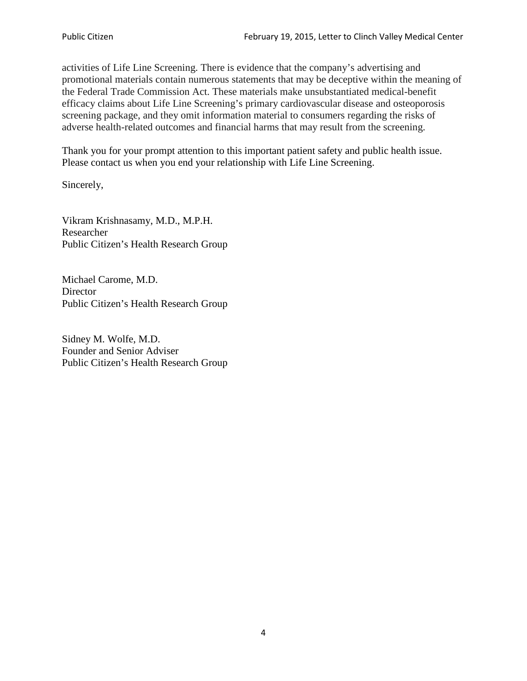activities of Life Line Screening. There is evidence that the company's advertising and promotional materials contain numerous statements that may be deceptive within the meaning of the Federal Trade Commission Act. These materials make unsubstantiated medical-benefit efficacy claims about Life Line Screening's primary cardiovascular disease and osteoporosis screening package, and they omit information material to consumers regarding the risks of adverse health-related outcomes and financial harms that may result from the screening.

Thank you for your prompt attention to this important patient safety and public health issue. Please contact us when you end your relationship with Life Line Screening.

Sincerely,

Vikram Krishnasamy, M.D., M.P.H. Researcher Public Citizen's Health Research Group

Michael Carome, M.D. **Director** Public Citizen's Health Research Group

Sidney M. Wolfe, M.D. Founder and Senior Adviser Public Citizen's Health Research Group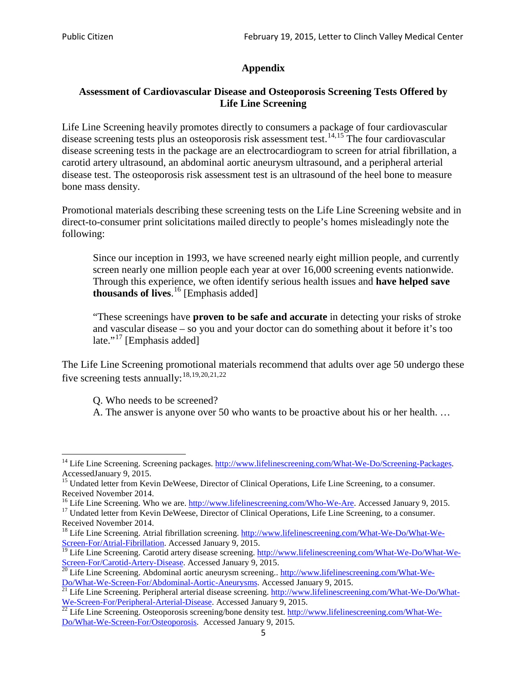# **Appendix**

## **Assessment of Cardiovascular Disease and Osteoporosis Screening Tests Offered by Life Line Screening**

Life Line Screening heavily promotes directly to consumers a package of four cardiovascular disease screening tests plus an osteoporosis risk assessment test.<sup>[14](#page-4-0),[15](#page-4-1)</sup> The four cardiovascular disease screening tests in the package are an electrocardiogram to screen for atrial fibrillation, a carotid artery ultrasound, an abdominal aortic aneurysm ultrasound, and a peripheral arterial disease test. The osteoporosis risk assessment test is an ultrasound of the heel bone to measure bone mass density.

Promotional materials describing these screening tests on the Life Line Screening website and in direct-to-consumer print solicitations mailed directly to people's homes misleadingly note the following:

Since our inception in 1993, we have screened nearly eight million people, and currently screen nearly one million people each year at over 16,000 screening events nationwide. Through this experience, we often identify serious health issues and **have helped save thousands of lives**. [16](#page-4-2) [Emphasis added]

"These screenings have **proven to be safe and accurate** in detecting your risks of stroke and vascular disease – so you and your doctor can do something about it before it's too late."<sup>[17](#page-4-3)</sup> [Emphasis added]

The Life Line Screening promotional materials recommend that adults over age 50 undergo these five screening tests annually:<sup>[18](#page-4-4),[19,](#page-4-5)[20,](#page-4-6)[21](#page-4-7),[22](#page-4-8)</sup>

Q. Who needs to be screened?

A. The answer is anyone over 50 who wants to be proactive about his or her health. …

Received November 2014.<br><sup>16</sup> Life Line Screening. Who we are. http://www.lifelinescreening.com/Who-We-Are. Accessed January 9, 2015.

<span id="page-4-3"></span><span id="page-4-2"></span><sup>17</sup> Undated letter from Kevin DeWeese, Director of Clinical Operations, Life Line Screening, to a consumer. Received November 2014.

<span id="page-4-0"></span><sup>&</sup>lt;sup>14</sup> Life Line Screening. Screening packages. [http://www.lifelinescreening.com/What-We-Do/Screening-Packages.](http://www.lifelinescreening.com/What-We-Do/Screening-Packages) AccessedJanuary 9, 2015.

<span id="page-4-1"></span><sup>&</sup>lt;sup>15</sup> Undated letter from Kevin DeWeese, Director of Clinical Operations, Life Line Screening, to a consumer.

<span id="page-4-4"></span><sup>&</sup>lt;sup>18</sup> Life Line Screening. Atrial fibrillation screening. [http://www.lifelinescreening.com/What-We-Do/What-We-](http://www.lifelinescreening.com/What-We-Do/What-We-Screen-For/Atrial-Fibrillation)[Screen-For/Atrial-Fibrillation.](http://www.lifelinescreening.com/What-We-Do/What-We-Screen-For/Atrial-Fibrillation) Accessed January 9, 2015.

<sup>&</sup>lt;sup>19</sup> Life Line Screening. Carotid artery disease screening. [http://www.lifelinescreening.com/What-We-Do/What-We-](http://www.lifelinescreening.com/What-We-Do/What-We-Screen-For/Carotid-Artery-Disease)

<span id="page-4-6"></span><span id="page-4-5"></span>[Screen-For/Carotid-Artery-Disease.](http://www.lifelinescreening.com/What-We-Do/What-We-Screen-For/Carotid-Artery-Disease) Accessed January 9, 2015.<br><sup>20</sup> Life Line Screening. Abdominal aortic aneurysm screening.. http://www.lifelinescreening.com/What-We-<br>Do/What-We-Screen-For/Abdominal-Aortic-Aneurysms. Acces

<span id="page-4-7"></span><sup>&</sup>lt;sup>21</sup> Life Line Screening. Peripheral arterial disease screening. [http://www.lifelinescreening.com/What-We-Do/What-](http://www.lifelinescreening.com/What-We-Do/What-We-Screen-For/Peripheral-Arterial-Disease)

<span id="page-4-8"></span>[We-Screen-For/Peripheral-Arterial-Disease.](http://www.lifelinescreening.com/What-We-Do/What-We-Screen-For/Peripheral-Arterial-Disease) Accessed January 9, 2015.<br><sup>22</sup> Life Line Screening. Osteoporosis screening/bone density test. [http://www.lifelinescreening.com/What-We-](http://www.lifelinescreening.com/What-We-Do/What-We-Screen-For/Osteoporosis)[Do/What-We-Screen-For/Osteoporosis.](http://www.lifelinescreening.com/What-We-Do/What-We-Screen-For/Osteoporosis) Accessed January 9, 2015.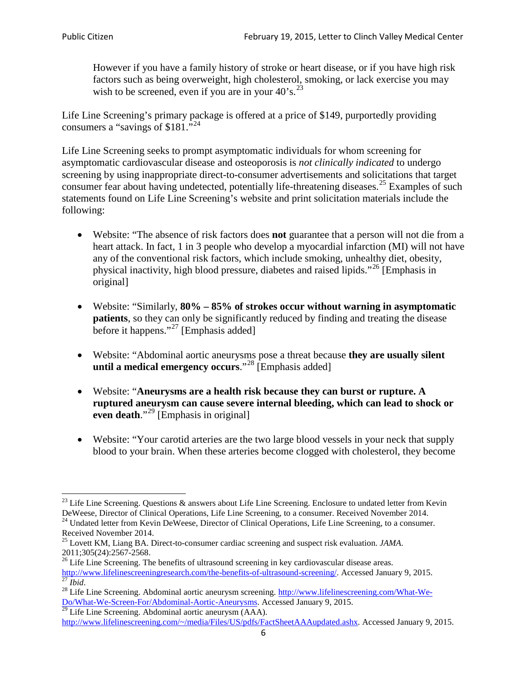However if you have a family history of stroke or heart disease, or if you have high risk factors such as being overweight, high cholesterol, smoking, or lack exercise you may wish to be screened, even if you are in your  $40^\circ$ s.<sup>[23](#page-5-0)</sup>

Life Line Screening's primary package is offered at a price of \$149, purportedly providing consumers a "savings of \$181."<sup>[24](#page-5-1)</sup>

Life Line Screening seeks to prompt asymptomatic individuals for whom screening for asymptomatic cardiovascular disease and osteoporosis is *not clinically indicated* to undergo screening by using inappropriate direct-to-consumer advertisements and solicitations that target consumer fear about having undetected, potentially life-threatening diseases.<sup>[25](#page-5-2)</sup> Examples of such statements found on Life Line Screening's website and print solicitation materials include the following:

- Website: "The absence of risk factors does **not** guarantee that a person will not die from a heart attack. In fact, 1 in 3 people who develop a myocardial infarction (MI) will not have any of the conventional risk factors, which include smoking, unhealthy diet, obesity, physical inactivity, high blood pressure, diabetes and raised lipids."[26](#page-5-3) [Emphasis in original]
- Website: "Similarly, **80% – 85% of strokes occur without warning in asymptomatic patients**, so they can only be significantly reduced by finding and treating the disease before it happens."<sup>[27](#page-5-4)</sup> [Emphasis added]
- Website: "Abdominal aortic aneurysms pose a threat because **they are usually silent until a medical emergency occurs**."[28](#page-5-5) [Emphasis added]
- Website: "**Aneurysms are a health risk because they can burst or rupture. A ruptured aneurysm can cause severe internal bleeding, which can lead to shock or even death.**"<sup>[29](#page-5-6)</sup> [Emphasis in original]
- Website: "Your carotid arteries are the two large blood vessels in your neck that supply blood to your brain. When these arteries become clogged with cholesterol, they become

<span id="page-5-0"></span><sup>&</sup>lt;sup>23</sup> Life Line Screening. Questions  $\&$  answers about Life Line Screening. Enclosure to undated letter from Kevin DeWeese, Director of Clinical Operations, Life Line Screening, to a consumer. Received November 2014.

<span id="page-5-1"></span><sup>&</sup>lt;sup>24</sup> Undated letter from Kevin DeWeese, Director of Clinical Operations, Life Line Screening, to a consumer. Received November 2014.

<span id="page-5-2"></span><sup>25</sup> Lovett KM, Liang BA. Direct-to-consumer cardiac screening and suspect risk evaluation. *JAMA*.  $2011;305(24):2567-2568$ .<br><sup>26</sup> Life Line Screening. The benefits of ultrasound screening in key cardiovascular disease areas.

<span id="page-5-3"></span>[http://www.lifelinescreeningresearch.com/the-benefits-of-ultrasound-screening/.](http://www.lifelinescreeningresearch.com/the-benefits-of-ultrasound-screening/) Accessed January 9, 2015.<br><sup>28</sup> Life Line Screening. Abdominal aortic aneurysm screening. http://www.lifelinescreening.com/What-We-<sup>28</sup>

<span id="page-5-5"></span><span id="page-5-4"></span>[Do/What-We-Screen-For/Abdominal-Aortic-Aneurysms.](http://www.lifelinescreening.com/What-We-Do/What-We-Screen-For/Abdominal-Aortic-Aneurysms) Accessed January 9, 2015. <sup>29</sup> Life Line Screening. Abdominal aortic aneurysm (AAA).

<span id="page-5-6"></span>[http://www.lifelinescreening.com/~/media/Files/US/pdfs/FactSheetAAAupdated.ashx.](http://www.lifelinescreening.com/~/media/Files/US/pdfs/FactSheetAAAupdated.ashx) Accessed January 9, 2015.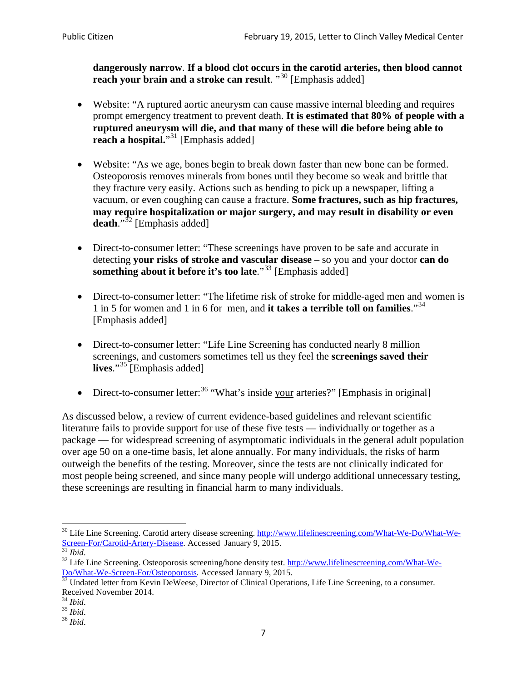**dangerously narrow**. **If a blood clot occurs in the carotid arteries, then blood cannot reach your brain and a stroke can result**. "<sup>[30](#page-6-0)</sup> [Emphasis added]

- Website: "A ruptured aortic aneurysm can cause massive internal bleeding and requires prompt emergency treatment to prevent death. **It is estimated that 80% of people with a ruptured aneurysm will die, and that many of these will die before being able to reach a hospital.**"<sup>[31](#page-6-1)</sup> [Emphasis added]
- Website: "As we age, bones begin to break down faster than new bone can be formed. Osteoporosis removes minerals from bones until they become so weak and brittle that they fracture very easily. Actions such as bending to pick up a newspaper, lifting a vacuum, or even coughing can cause a fracture. **Some fractures, such as hip fractures, may require hospitalization or major surgery, and may result in disability or even**  death."<sup>[32](#page-6-2)</sup> [Emphasis added]
- Direct-to-consumer letter: "These screenings have proven to be safe and accurate in detecting **your risks of stroke and vascular disease** – so you and your doctor **can do something about it before it's too late**."<sup>[33](#page-6-3)</sup> [Emphasis added]
- Direct-to-consumer letter: "The lifetime risk of stroke for middle-aged men and women is 1 in 5 for women and 1 in 6 for men, and **it takes a terrible toll on families**."[34](#page-6-4) [Emphasis added]
- Direct-to-consumer letter: "Life Line Screening has conducted nearly 8 million screenings, and customers sometimes tell us they feel the **screenings saved their lives**."[35](#page-6-5) [Emphasis added]
- Direct-to-consumer letter:  $36$  "What's inside your arteries?" [Emphasis in original]

As discussed below, a review of current evidence-based guidelines and relevant scientific literature fails to provide support for use of these five tests — individually or together as a package — for widespread screening of asymptomatic individuals in the general adult population over age 50 on a one-time basis, let alone annually. For many individuals, the risks of harm outweigh the benefits of the testing. Moreover, since the tests are not clinically indicated for most people being screened, and since many people will undergo additional unnecessary testing, these screenings are resulting in financial harm to many individuals.

<span id="page-6-0"></span><sup>&</sup>lt;sup>30</sup> Life Line Screening. Carotid artery disease screening. [http://www.lifelinescreening.com/What-We-Do/What-We-](http://www.lifelinescreening.com/What-We-Do/What-We-Screen-For/Carotid-Artery-Disease)[Screen-For/Carotid-Artery-Disease.](http://www.lifelinescreening.com/What-We-Do/What-We-Screen-For/Carotid-Artery-Disease) Accessed January 9, 2015.<br><sup>31</sup> *Ibid.* 32 Life Line Screening. Osteoporosis screening/bone density test. [http://www.lifelinescreening.com/What-We-](http://www.lifelinescreening.com/What-We-Do/What-We-Screen-For/Osteoporosis)

<span id="page-6-2"></span><span id="page-6-1"></span>[Do/What-We-Screen-For/Osteoporosis.](http://www.lifelinescreening.com/What-We-Do/What-We-Screen-For/Osteoporosis) Accessed January 9, 2015. <sup>33</sup> Undated letter from Kevin DeWeese, Director of Clinical Operations, Life Line Screening, to a consumer.

<span id="page-6-3"></span>Received November 2014.<br><sup>34</sup> Ibid.

<span id="page-6-4"></span>

<span id="page-6-5"></span><sup>34</sup> *Ibid*. 35 *Ibid*. 36 *Ibid*.

<span id="page-6-6"></span>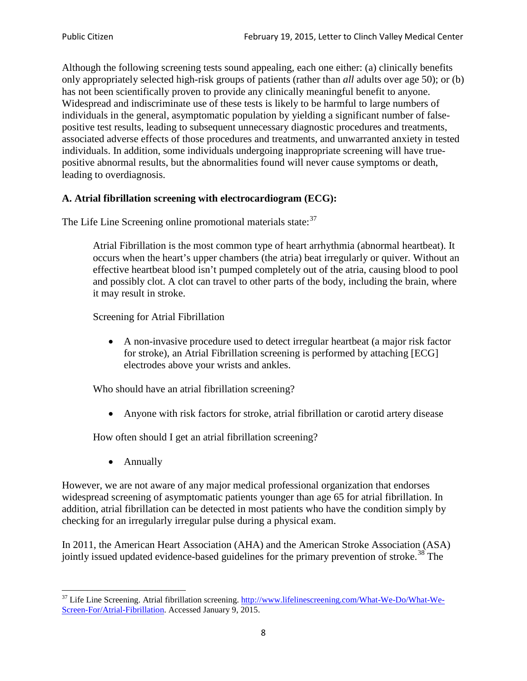Although the following screening tests sound appealing, each one either: (a) clinically benefits only appropriately selected high-risk groups of patients (rather than *all* adults over age 50); or (b) has not been scientifically proven to provide any clinically meaningful benefit to anyone. Widespread and indiscriminate use of these tests is likely to be harmful to large numbers of individuals in the general, asymptomatic population by yielding a significant number of falsepositive test results, leading to subsequent unnecessary diagnostic procedures and treatments, associated adverse effects of those procedures and treatments, and unwarranted anxiety in tested individuals. In addition, some individuals undergoing inappropriate screening will have truepositive abnormal results, but the abnormalities found will never cause symptoms or death, leading to overdiagnosis.

# **A. Atrial fibrillation screening with electrocardiogram (ECG):**

The Life Line Screening online promotional materials state:<sup>[37](#page-7-0)</sup>

Atrial Fibrillation is the most common type of heart arrhythmia (abnormal heartbeat). It occurs when the heart's upper chambers (the atria) beat irregularly or quiver. Without an effective heartbeat blood isn't pumped completely out of the atria, causing blood to pool and possibly clot. A clot can travel to other parts of the body, including the brain, where it may result in stroke.

Screening for Atrial Fibrillation

• A non-invasive procedure used to detect irregular heartbeat (a major risk factor for stroke), an Atrial Fibrillation screening is performed by attaching [ECG] electrodes above your wrists and ankles.

Who should have an atrial fibrillation screening?

• Anyone with risk factors for stroke, atrial fibrillation or carotid artery disease

How often should I get an atrial fibrillation screening?

• Annually

<span id="page-7-1"></span>However, we are not aware of any major medical professional organization that endorses widespread screening of asymptomatic patients younger than age 65 for atrial fibrillation. In addition, atrial fibrillation can be detected in most patients who have the condition simply by checking for an irregularly irregular pulse during a physical exam.

In 2011, the American Heart Association (AHA) and the American Stroke Association (ASA) jointly issued updated evidence-based guidelines for the primary prevention of stroke.<sup>[38](#page-7-1)</sup> The

<span id="page-7-0"></span><sup>&</sup>lt;sup>37</sup> Life Line Screening. Atrial fibrillation screening. [http://www.lifelinescreening.com/What-We-Do/What-We-](http://www.lifelinescreening.com/What-We-Do/What-We-Screen-For/Atrial-Fibrillation)[Screen-For/Atrial-Fibrillation.](http://www.lifelinescreening.com/What-We-Do/What-We-Screen-For/Atrial-Fibrillation) Accessed January 9, 2015.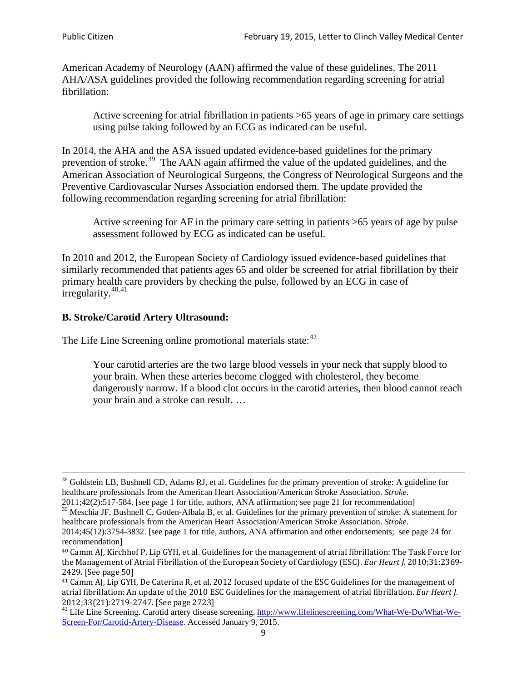American Academy of Neurology (AAN) affirmed the value of these guidelines. The 2011 AHA/ASA guidelines provided the following recommendation regarding screening for atrial fibrillation:

Active screening for atrial fibrillation in patients >65 years of age in primary care settings using pulse taking followed by an ECG as indicated can be useful.

In 2014, the AHA and the ASA issued updated evidence-based guidelines for the primary prevention of stroke.<sup>[39](#page-8-0)</sup> The AAN again affirmed the value of the updated guidelines, and the American Association of Neurological Surgeons, the Congress of Neurological Surgeons and the Preventive Cardiovascular Nurses Association endorsed them. The update provided the following recommendation regarding screening for atrial fibrillation:

Active screening for AF in the primary care setting in patients >65 years of age by pulse assessment followed by ECG as indicated can be useful.

In 2010 and 2012, the European Society of Cardiology issued evidence-based guidelines that similarly recommended that patients ages 65 and older be screened for atrial fibrillation by their primary health care providers by checking the pulse, followed by an ECG in case of irregularity. $40,41$  $40,41$ 

# **B. Stroke/Carotid Artery Ultrasound:**

The Life Line Screening online promotional materials state:<sup>[42](#page-8-3)</sup>

Your carotid arteries are the two large blood vessels in your neck that supply blood to your brain. When these arteries become clogged with cholesterol, they become dangerously narrow. If a blood clot occurs in the carotid arteries, then blood cannot reach your brain and a stroke can result. …

<sup>&</sup>lt;sup>38</sup> Goldstein LB, Bushnell CD, Adams RJ, et al. Guidelines for the primary prevention of stroke: A guideline for healthcare professionals from the American Heart Association/American Stroke Association. *Stroke*.

<sup>2011;42(2):517-584.</sup> [see page 1 for title, authors, ANA affirmation; see page 21 for recommendation]

<span id="page-8-0"></span> $\frac{2011,42(2)(317,601)}{39}$  Meschia JF, Bushnell C, Goden-Albala B, et al. Guidelines for the primary prevention of stroke: A statement for healthcare professionals from the American Heart Association/American Stroke Association. *Stroke*.

<sup>2014;45(12):3754-3832.</sup> [see page 1 for title, authors, ANA affirmation and other endorsements; see page 24 for recommendation]

<span id="page-8-1"></span><sup>40</sup> Camm AJ, Kirchhof P, Lip GYH, et al. Guidelines for the management of atrial fibrillation: The Task Force for the Management of Atrial Fibrillation of the European Society of Cardiology (ESC). *Eur Heart J*. 2010;31:2369- 2429. [See page 50]

<span id="page-8-2"></span><sup>41</sup> Camm AJ, Lip GYH, De Caterina R, et al. 2012 focused update of the ESC Guidelines for the management of atrial fibrillation: An update of the 2010 ESC Guidelines for the management of atrial fibrillation. *Eur Heart J*.

<span id="page-8-3"></span><sup>&</sup>lt;sup>2012</sup>;23(21):2719-2747. [See page 273] 42 Life Line Screening. [http://www.lifelinescreening.com/What-We-Do/What-We-](http://www.lifelinescreening.com/What-We-Do/What-We-Screen-For/Carotid-Artery-Disease)[Screen-For/Carotid-Artery-Disease.](http://www.lifelinescreening.com/What-We-Do/What-We-Screen-For/Carotid-Artery-Disease) Accessed January 9, 2015.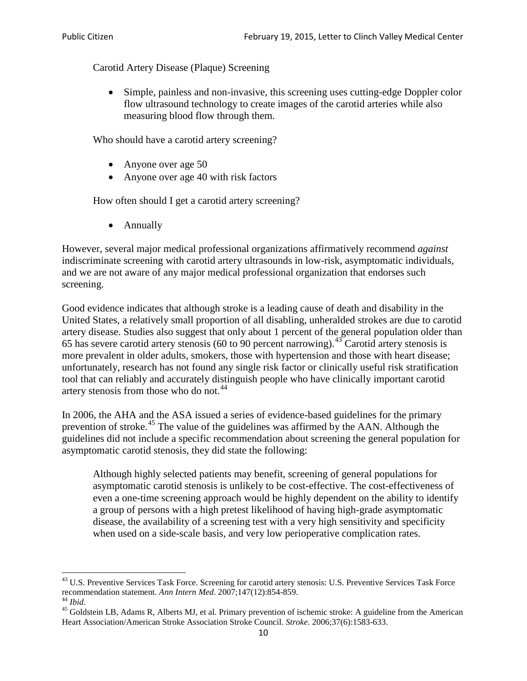Carotid Artery Disease (Plaque) Screening

• Simple, painless and non-invasive, this screening uses cutting-edge Doppler color flow ultrasound technology to create images of the carotid arteries while also measuring blood flow through them.

Who should have a carotid artery screening?

- Anyone over age 50
- Anyone over age 40 with risk factors

How often should I get a carotid artery screening?

• Annually

However, several major medical professional organizations affirmatively recommend *against* indiscriminate screening with carotid artery ultrasounds in low-risk, asymptomatic individuals, and we are not aware of any major medical professional organization that endorses such screening.

Good evidence indicates that although stroke is a leading cause of death and disability in the United States, a relatively small proportion of all disabling, unheralded strokes are due to carotid artery disease. Studies also suggest that only about 1 percent of the general population older than 65 has severe carotid artery stenosis (60 to 90 percent narrowing).<sup>[43](#page-9-0)</sup> Carotid artery stenosis is more prevalent in older adults, smokers, those with hypertension and those with heart disease; unfortunately, research has not found any single risk factor or clinically useful risk stratification tool that can reliably and accurately distinguish people who have clinically important carotid artery stenosis from those who do not.<sup>[44](#page-9-1)</sup>

In 2006, the AHA and the ASA issued a series of evidence-based guidelines for the primary prevention of stroke.<sup>[45](#page-9-2)</sup> The value of the guidelines was affirmed by the AAN. Although the guidelines did not include a specific recommendation about screening the general population for asymptomatic carotid stenosis, they did state the following:

Although highly selected patients may benefit, screening of general populations for asymptomatic carotid stenosis is unlikely to be cost-effective. The cost-effectiveness of even a one-time screening approach would be highly dependent on the ability to identify a group of persons with a high pretest likelihood of having high-grade asymptomatic disease, the availability of a screening test with a very high sensitivity and specificity when used on a side-scale basis, and very low perioperative complication rates.

<span id="page-9-0"></span> $^{43}$  U.S. Preventive Services Task Force. Screening for carotid artery stenosis: U.S. Preventive Services Task Force recommendation statement. Ann Intern Med. 2007;147(12):854-859.

<span id="page-9-2"></span>

<span id="page-9-1"></span><sup>&</sup>lt;sup>44</sup> *Ibid*. <sup>45</sup> Goldstein LB, Adams R, Alberts MJ, et al. Primary prevention of ischemic stroke: A guideline from the American <sup>45</sup> Goldstein LB, Adams R, Alberts MJ, et al. Primary prevention of ischemic stroke: A guide Heart Association/American Stroke Association Stroke Council. *Stroke*. 2006;37(6):1583-633.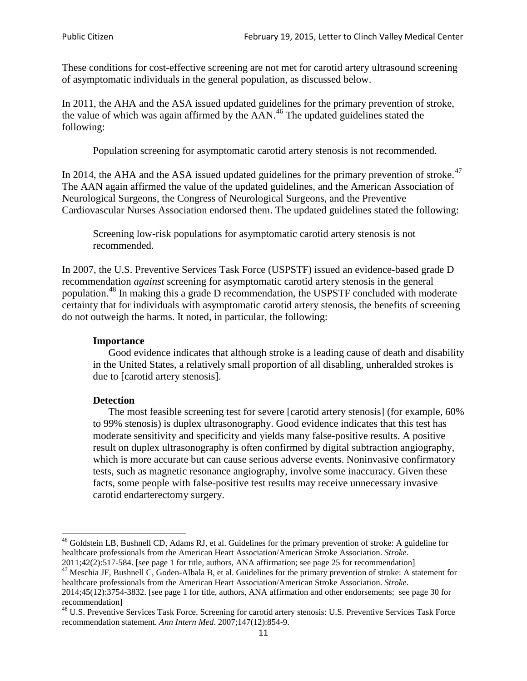These conditions for cost-effective screening are not met for carotid artery ultrasound screening of asymptomatic individuals in the general population, as discussed below.

In 2011, the AHA and the ASA issued updated guidelines for the primary prevention of stroke, the value of which was again affirmed by the  $AAN<sup>46</sup>$  $AAN<sup>46</sup>$  $AAN<sup>46</sup>$ . The updated guidelines stated the following:

Population screening for asymptomatic carotid artery stenosis is not recommended.

In 2014, the AHA and the ASA issued updated guidelines for the primary prevention of stroke.<sup>47</sup> The AAN again affirmed the value of the updated guidelines, and the American Association of Neurological Surgeons, the Congress of Neurological Surgeons, and the Preventive Cardiovascular Nurses Association endorsed them. The updated guidelines stated the following:

Screening low-risk populations for asymptomatic carotid artery stenosis is not recommended.

In 2007, the U.S. Preventive Services Task Force (USPSTF) issued an evidence-based grade D recommendation *against* screening for asymptomatic carotid artery stenosis in the general population.[48](#page-10-2) In making this a grade D recommendation, the USPSTF concluded with moderate certainty that for individuals with asymptomatic carotid artery stenosis, the benefits of screening do not outweigh the harms. It noted, in particular, the following:

#### **Importance**

Good evidence indicates that although stroke is a leading cause of death and disability in the United States, a relatively small proportion of all disabling, unheralded strokes is due to [carotid artery stenosis].

#### **Detection**

The most feasible screening test for severe [carotid artery stenosis] (for example, 60% to 99% stenosis) is duplex ultrasonography. Good evidence indicates that this test has moderate sensitivity and specificity and yields many false-positive results. A positive result on duplex ultrasonography is often confirmed by digital subtraction angiography, which is more accurate but can cause serious adverse events. Noninvasive confirmatory tests, such as magnetic resonance angiography, involve some inaccuracy. Given these facts, some people with false-positive test results may receive unnecessary invasive carotid endarterectomy surgery.

<span id="page-10-0"></span><sup>&</sup>lt;sup>46</sup> Goldstein LB, Bushnell CD, Adams RJ, et al. Guidelines for the primary prevention of stroke: A guideline for healthcare professionals from the American Heart Association/American Stroke Association. *Stroke*.<br>2011;42(2):517-584. [see page 1 for title, authors, ANA affirmation; see page 25 for recommendation]

<span id="page-10-1"></span><sup>&</sup>lt;sup>47</sup> Meschia JF, Bushnell C, Goden-Albala B, et al. Guidelines for the primary prevention of stroke: A statement for healthcare professionals from the American Heart Association/American Stroke Association. *Stroke*. 2014;45(12):3754-3832. [see page 1 for title, authors, ANA affirmation and other endorsements; see page 30 for

recommendation]

<span id="page-10-2"></span><sup>&</sup>lt;sup>48</sup> U.S. Preventive Services Task Force. Screening for carotid artery stenosis: U.S. Preventive Services Task Force recommendation statement. *Ann Intern Med*. 2007;147(12):854-9.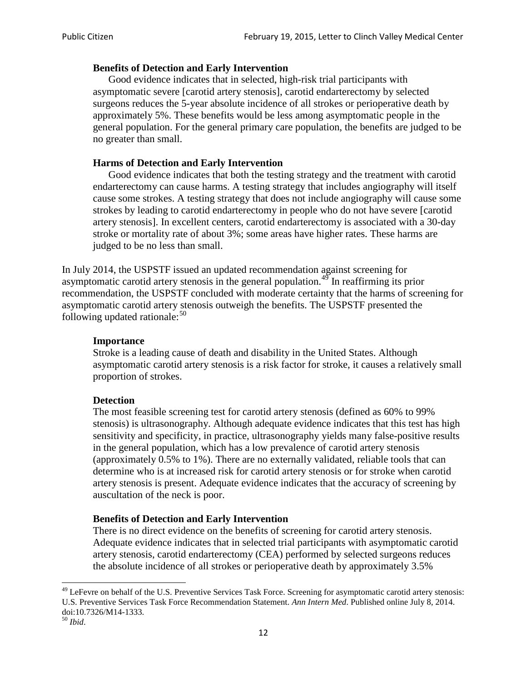### **Benefits of Detection and Early Intervention**

Good evidence indicates that in selected, high-risk trial participants with asymptomatic severe [carotid artery stenosis], carotid endarterectomy by selected surgeons reduces the 5-year absolute incidence of all strokes or perioperative death by approximately 5%. These benefits would be less among asymptomatic people in the general population. For the general primary care population, the benefits are judged to be no greater than small.

### **Harms of Detection and Early Intervention**

Good evidence indicates that both the testing strategy and the treatment with carotid endarterectomy can cause harms. A testing strategy that includes angiography will itself cause some strokes. A testing strategy that does not include angiography will cause some strokes by leading to carotid endarterectomy in people who do not have severe [carotid artery stenosis]. In excellent centers, carotid endarterectomy is associated with a 30-day stroke or mortality rate of about 3%; some areas have higher rates. These harms are judged to be no less than small.

In July 2014, the USPSTF issued an updated recommendation against screening for asymptomatic carotid artery stenosis in the general population.<sup>[49](#page-11-0)</sup> In reaffirming its prior recommendation, the USPSTF concluded with moderate certainty that the harms of screening for asymptomatic carotid artery stenosis outweigh the benefits. The USPSTF presented the following updated rationale: $50$ 

#### **Importance**

Stroke is a leading cause of death and disability in the United States. Although asymptomatic carotid artery stenosis is a risk factor for stroke, it causes a relatively small proportion of strokes.

#### **Detection**

The most feasible screening test for carotid artery stenosis (defined as 60% to 99% stenosis) is ultrasonography. Although adequate evidence indicates that this test has high sensitivity and specificity, in practice, ultrasonography yields many false-positive results in the general population, which has a low prevalence of carotid artery stenosis (approximately 0.5% to 1%). There are no externally validated, reliable tools that can determine who is at increased risk for carotid artery stenosis or for stroke when carotid artery stenosis is present. Adequate evidence indicates that the accuracy of screening by auscultation of the neck is poor.

## **Benefits of Detection and Early Intervention**

There is no direct evidence on the benefits of screening for carotid artery stenosis. Adequate evidence indicates that in selected trial participants with asymptomatic carotid artery stenosis, carotid endarterectomy (CEA) performed by selected surgeons reduces the absolute incidence of all strokes or perioperative death by approximately 3.5%

<span id="page-11-0"></span><sup>&</sup>lt;sup>49</sup> LeFevre on behalf of the U.S. Preventive Services Task Force. Screening for asymptomatic carotid artery stenosis: U.S. Preventive Services Task Force Recommendation Statement. *Ann Intern Med*. Published online July 8, 2014. doi:10.7326/M14-1333. <sup>50</sup> *Ibid*.

<span id="page-11-1"></span>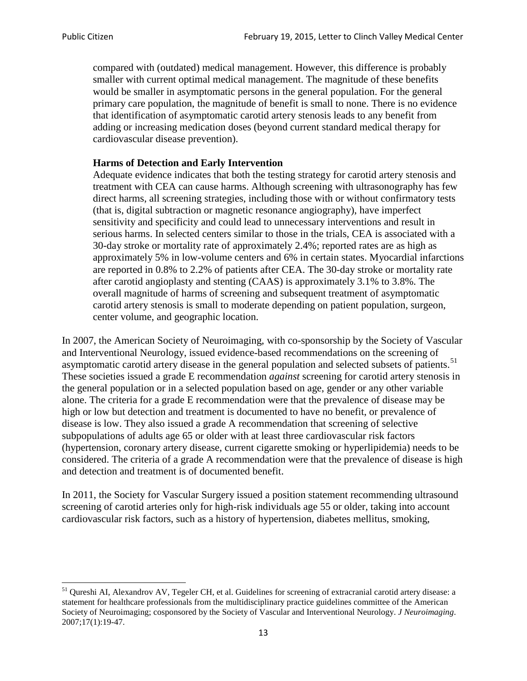compared with (outdated) medical management. However, this difference is probably smaller with current optimal medical management. The magnitude of these benefits would be smaller in asymptomatic persons in the general population. For the general primary care population, the magnitude of benefit is small to none. There is no evidence that identification of asymptomatic carotid artery stenosis leads to any benefit from adding or increasing medication doses (beyond current standard medical therapy for cardiovascular disease prevention).

#### **Harms of Detection and Early Intervention**

Adequate evidence indicates that both the testing strategy for carotid artery stenosis and treatment with CEA can cause harms. Although screening with ultrasonography has few direct harms, all screening strategies, including those with or without confirmatory tests (that is, digital subtraction or magnetic resonance angiography), have imperfect sensitivity and specificity and could lead to unnecessary interventions and result in serious harms. In selected centers similar to those in the trials, CEA is associated with a 30-day stroke or mortality rate of approximately 2.4%; reported rates are as high as approximately 5% in low-volume centers and 6% in certain states. Myocardial infarctions are reported in 0.8% to 2.2% of patients after CEA. The 30-day stroke or mortality rate after carotid angioplasty and stenting (CAAS) is approximately 3.1% to 3.8%. The overall magnitude of harms of screening and subsequent treatment of asymptomatic carotid artery stenosis is small to moderate depending on patient population, surgeon, center volume, and geographic location.

In 2007, the American Society of Neuroimaging, with co-sponsorship by the Society of Vascular and Interventional Neurology, issued evidence-based recommendations on the screening of asymptomatic carotid artery disease in the general population and selected subsets of patients.<sup>[51](#page-12-0)</sup> These societies issued a grade E recommendation *against* screening for carotid artery stenosis in the general population or in a selected population based on age, gender or any other variable alone. The criteria for a grade E recommendation were that the prevalence of disease may be high or low but detection and treatment is documented to have no benefit, or prevalence of disease is low. They also issued a grade A recommendation that screening of selective subpopulations of adults age 65 or older with at least three cardiovascular risk factors (hypertension, coronary artery disease, current cigarette smoking or hyperlipidemia) needs to be considered. The criteria of a grade A recommendation were that the prevalence of disease is high and detection and treatment is of documented benefit.

In 2011, the Society for Vascular Surgery issued a position statement recommending ultrasound screening of carotid arteries only for high-risk individuals age 55 or older, taking into account cardiovascular risk factors, such as a history of hypertension, diabetes mellitus, smoking,

<span id="page-12-0"></span><sup>&</sup>lt;sup>51</sup> Qureshi AI, Alexandrov AV, Tegeler CH, et al. Guidelines for screening of extracranial carotid artery disease: a statement for healthcare professionals from the multidisciplinary practice guidelines committee of the American Society of Neuroimaging; cosponsored by the Society of Vascular and Interventional Neurology. *J Neuroimaging*. 2007;17(1):19-47.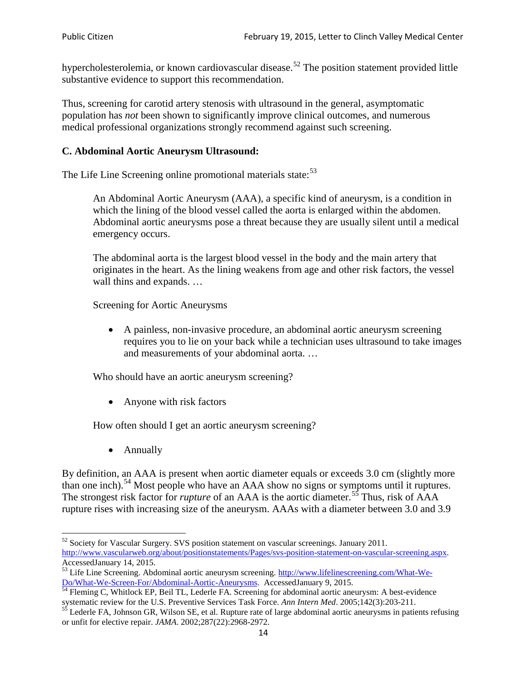hypercholesterolemia, or known cardiovascular disease.<sup>[52](#page-13-0)</sup> The position statement provided little substantive evidence to support this recommendation.

Thus, screening for carotid artery stenosis with ultrasound in the general, asymptomatic population has *not* been shown to significantly improve clinical outcomes, and numerous medical professional organizations strongly recommend against such screening.

### **C. Abdominal Aortic Aneurysm Ultrasound:**

The Life Line Screening online promotional materials state:<sup>[53](#page-13-1)</sup>

An Abdominal Aortic Aneurysm (AAA), a specific kind of aneurysm, is a condition in which the lining of the blood vessel called the aorta is enlarged within the abdomen. Abdominal aortic aneurysms pose a threat because they are usually silent until a medical emergency occurs.

The abdominal aorta is the largest blood vessel in the body and the main artery that originates in the heart. As the lining weakens from age and other risk factors, the vessel wall thins and expands. …

Screening for Aortic Aneurysms

• A painless, non-invasive procedure, an abdominal aortic aneurysm screening requires you to lie on your back while a technician uses ultrasound to take images and measurements of your abdominal aorta. …

Who should have an aortic aneurysm screening?

• Anyone with risk factors

How often should I get an aortic aneurysm screening?

• Annually

By definition, an AAA is present when aortic diameter equals or exceeds 3.0 cm (slightly more than one inch).<sup>[54](#page-13-2)</sup> Most people who have an AAA show no signs or symptoms until it ruptures. The strongest risk factor for *rupture* of an AAA is the aortic diameter.<sup>[55](#page-13-3)</sup> Thus, risk of AAA rupture rises with increasing size of the aneurysm. AAAs with a diameter between 3.0 and 3.9

<span id="page-13-0"></span> $52$  Society for Vascular Surgery. SVS position statement on vascular screenings. January 2011. http://www.vascularweb.org/about/positionstatements/Pages/svs-position-statement-on-vascular-screening.aspx.<br>Accessed January 14, 2015.

<span id="page-13-1"></span>Accessed Line Screening. Abdominal aortic aneurysm screening. http://www.lifelinescreening.com/What-We-<br>Do/What-We-Screen-For/Abdominal-Aortic-Aneurysms. Accessed January 9, 2015.

<span id="page-13-2"></span> $\frac{1}{54}$  Fleming C, Whitlock EP, Beil TL, Lederle FA. Screening for abdominal aortic aneurysm: A best-evidence systematic review for the U.S. Preventive Services Task Force. *Ann Intern Med.* 2005;142(3):203-211.<br><sup>55</sup> Lederle FA, Johnson GR, Wilson SE, et al. Rupture rate of large abdominal aortic aneurysms in patients refusing

<span id="page-13-3"></span>or unfit for elective repair. *JAMA*. 2002;287(22):2968-2972.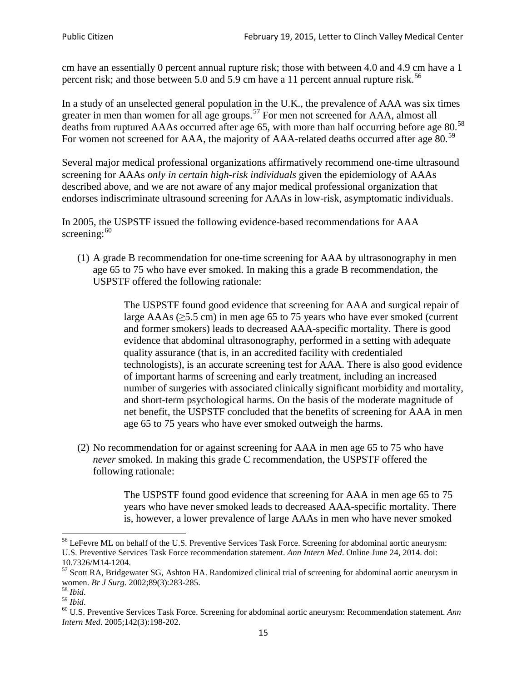cm have an essentially 0 percent annual rupture risk; those with between 4.0 and 4.9 cm have a 1 percent risk; and those between 5.0 and 5.9 cm have a 11 percent annual rupture risk.<sup>[56](#page-14-0)</sup>

In a study of an unselected general population in the U.K., the prevalence of AAA was six times greater in men than women for all age groups.<sup>[57](#page-14-1)</sup> For men not screened for  $AAA$ , almost all deaths from ruptured AAAs occurred after age 65, with more than half occurring before age 80.<sup>[58](#page-14-2)</sup> For women not screened for AAA, the majority of AAA-related deaths occurred after age 80.<sup>[59](#page-14-3)</sup>

Several major medical professional organizations affirmatively recommend one-time ultrasound screening for AAAs *only in certain high-risk individuals* given the epidemiology of AAAs described above, and we are not aware of any major medical professional organization that endorses indiscriminate ultrasound screening for AAAs in low-risk, asymptomatic individuals.

In 2005, the USPSTF issued the following evidence-based recommendations for AAA screening:  $60$ 

(1) A grade B recommendation for one-time screening for AAA by ultrasonography in men age 65 to 75 who have ever smoked. In making this a grade [B recommendation,](http://www.uspreventiveservicestaskforce.org/uspstf/gradespre.htm#brec) the USPSTF offered the following rationale:

> The USPSTF found good evidence that screening for AAA and surgical repair of large AAAs ( $\geq$ 5.5 cm) in men age 65 to 75 years who have ever smoked (current and former smokers) leads to decreased AAA-specific mortality. There is good evidence that abdominal ultrasonography, performed in a setting with adequate quality assurance (that is, in an accredited facility with credentialed technologists), is an accurate screening test for AAA. There is also good evidence of important harms of screening and early treatment, including an increased number of surgeries with associated clinically significant morbidity and mortality, and short-term psychological harms. On the basis of the moderate magnitude of net benefit, the USPSTF concluded that the benefits of screening for AAA in men age 65 to 75 years who have ever smoked outweigh the harms.

(2) No recommendation for or against screening for AAA in men age 65 to 75 who have *never* smoked. In making this grade C recommendation, the USPSTF offered the following rationale:

> The USPSTF found good evidence that screening for AAA in men age 65 to 75 years who have never smoked leads to decreased AAA-specific mortality. There is, however, a lower prevalence of large AAAs in men who have never smoked

<span id="page-14-0"></span><sup>&</sup>lt;sup>56</sup> LeFevre ML on behalf of the U.S. Preventive Services Task Force. Screening for abdominal aortic aneurysm: U.S. Preventive Services Task Force recommendation statement. *Ann Intern Med*. Online June 24, 2014. doi:

<span id="page-14-1"></span><sup>10.7326/</sup>M14-1204.<br> $57$  Scott RA, Bridgewater SG, Ashton HA. Randomized clinical trial of screening for abdominal aortic aneurysm in women. *Br J Surg.* 2002;89(3):283-285.

<span id="page-14-4"></span><span id="page-14-3"></span>

<span id="page-14-2"></span><sup>&</sup>lt;sup>58</sup> *Ibid.*<br><sup>59</sup> *Ibid.* 2002;<br><sup>60</sup> U.S. Preventive Services Task Force. Screening for abdominal aortic aneurysm: Recommendation statement. *Ann Intern Med*. 2005;142(3):198-202.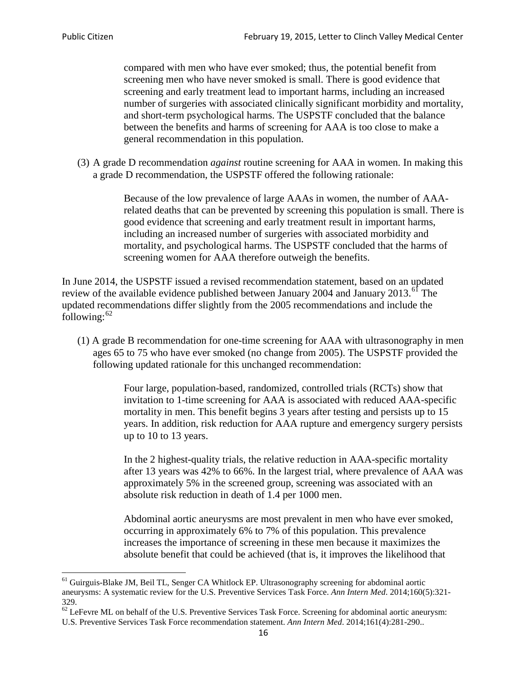compared with men who have ever smoked; thus, the potential benefit from screening men who have never smoked is small. There is good evidence that screening and early treatment lead to important harms, including an increased number of surgeries with associated clinically significant morbidity and mortality, and short-term psychological harms. The USPSTF concluded that the balance between the benefits and harms of screening for AAA is too close to make a general recommendation in this population.

(3) A grade D recommendation *against* routine screening for AAA in women. In making this a grade D recommendation, the USPSTF offered the following rationale:

> Because of the low prevalence of large AAAs in women, the number of AAArelated deaths that can be prevented by screening this population is small. There is good evidence that screening and early treatment result in important harms, including an increased number of surgeries with associated morbidity and mortality, and psychological harms. The USPSTF concluded that the harms of screening women for AAA therefore outweigh the benefits.

In June 2014, the USPSTF issued a revised recommendation statement, based on an updated review of the available evidence published between January 2004 and January 2013.<sup>[61](#page-15-0)</sup> The updated recommendations differ slightly from the 2005 recommendations and include the following: $62$ 

(1) A grade B recommendation for one-time screening for AAA with ultrasonography in men ages 65 to 75 who have ever smoked (no change from 2005). The USPSTF provided the following updated rationale for this unchanged recommendation:

> Four large, population-based, randomized, controlled trials (RCTs) show that invitation to 1-time screening for AAA is associated with reduced AAA-specific mortality in men. This benefit begins 3 years after testing and persists up to 15 years. In addition, risk reduction for AAA rupture and emergency surgery persists up to 10 to 13 years.

> In the 2 highest-quality trials, the relative reduction in AAA-specific mortality after 13 years was 42% to 66%. In the largest trial, where prevalence of AAA was approximately 5% in the screened group, screening was associated with an absolute risk reduction in death of 1.4 per 1000 men.

Abdominal aortic aneurysms are most prevalent in men who have ever smoked, occurring in approximately 6% to 7% of this population. This prevalence increases the importance of screening in these men because it maximizes the absolute benefit that could be achieved (that is, it improves the likelihood that

<span id="page-15-0"></span><sup>61</sup> Guirguis-Blake JM, Beil TL, Senger CA Whitlock EP. Ultrasonography screening for abdominal aortic aneurysms: A systematic review for the U.S. Preventive Services Task Force. *Ann Intern Med*. 2014;160(5):321- 329.

<span id="page-15-1"></span> $62$  LeFevre ML on behalf of the U.S. Preventive Services Task Force. Screening for abdominal aortic aneurysm: U.S. Preventive Services Task Force recommendation statement. *Ann Intern Med*. 2014;161(4):281-290..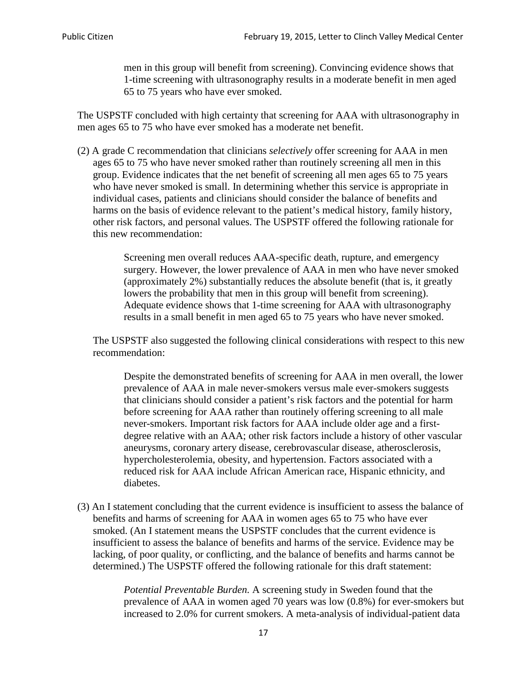men in this group will benefit from screening). Convincing evidence shows that 1-time screening with ultrasonography results in a moderate benefit in men aged 65 to 75 years who have ever smoked.

The USPSTF concluded with high certainty that screening for AAA with ultrasonography in men ages 65 to 75 who have ever smoked has a moderate net benefit.

(2) A grade C recommendation that clinicians *selectively* offer screening for AAA in men ages 65 to 75 who have never smoked rather than routinely screening all men in this group. Evidence indicates that the net benefit of screening all men ages 65 to 75 years who have never smoked is small. In determining whether this service is appropriate in individual cases, patients and clinicians should consider the balance of benefits and harms on the basis of evidence relevant to the patient's medical history, family history, other risk factors, and personal values. The USPSTF offered the following rationale for this new recommendation:

> Screening men overall reduces AAA-specific death, rupture, and emergency surgery. However, the lower prevalence of AAA in men who have never smoked (approximately 2%) substantially reduces the absolute benefit (that is, it greatly lowers the probability that men in this group will benefit from screening). Adequate evidence shows that 1-time screening for AAA with ultrasonography results in a small benefit in men aged 65 to 75 years who have never smoked.

The USPSTF also suggested the following clinical considerations with respect to this new recommendation:

Despite the demonstrated benefits of screening for AAA in men overall, the lower prevalence of AAA in male never-smokers versus male ever-smokers suggests that clinicians should consider a patient's risk factors and the potential for harm before screening for AAA rather than routinely offering screening to all male never-smokers. Important risk factors for AAA include older age and a firstdegree relative with an AAA; other risk factors include a history of other vascular aneurysms, coronary artery disease, cerebrovascular disease, atherosclerosis, hypercholesterolemia, obesity, and hypertension. Factors associated with a reduced risk for AAA include African American race, Hispanic ethnicity, and diabetes.

(3) An I statement concluding that the current evidence is insufficient to assess the balance of benefits and harms of screening for AAA in women ages 65 to 75 who have ever smoked. (An I statement means the USPSTF concludes that the current evidence is insufficient to assess the balance of benefits and harms of the service. Evidence may be lacking, of poor quality, or conflicting, and the balance of benefits and harms cannot be determined.) The USPSTF offered the following rationale for this draft statement:

> *Potential Preventable Burden.* A screening study in Sweden found that the prevalence of AAA in women aged 70 years was low (0.8%) for ever-smokers but increased to 2.0% for current smokers. A meta-analysis of individual-patient data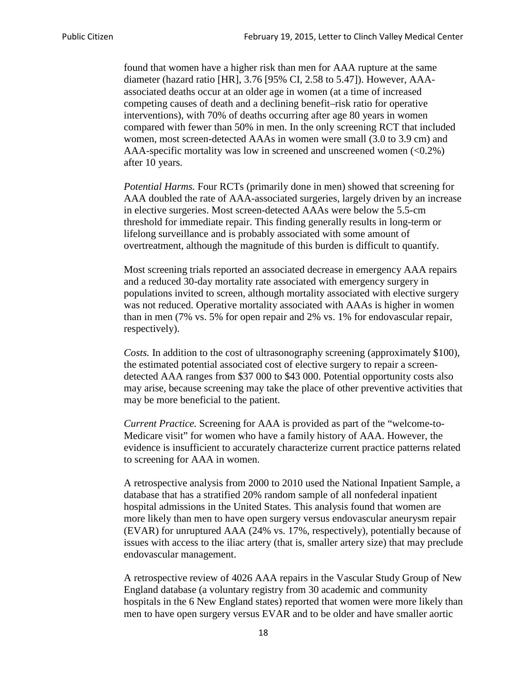found that women have a higher risk than men for AAA rupture at the same diameter (hazard ratio [HR], 3.76 [95% CI, 2.58 to 5.47]). However, AAAassociated deaths occur at an older age in women (at a time of increased competing causes of death and a declining benefit–risk ratio for operative interventions), with 70% of deaths occurring after age 80 years in women compared with fewer than 50% in men. In the only screening RCT that included women, most screen-detected AAAs in women were small (3.0 to 3.9 cm) and AAA-specific mortality was low in screened and unscreened women  $(<0.2\%)$ after 10 years.

*Potential Harms.* Four RCTs (primarily done in men) showed that screening for AAA doubled the rate of AAA-associated surgeries, largely driven by an increase in elective surgeries. Most screen-detected AAAs were below the 5.5-cm threshold for immediate repair. This finding generally results in long-term or lifelong surveillance and is probably associated with some amount of overtreatment, although the magnitude of this burden is difficult to quantify.

Most screening trials reported an associated decrease in emergency AAA repairs and a reduced 30-day mortality rate associated with emergency surgery in populations invited to screen, although mortality associated with elective surgery was not reduced. Operative mortality associated with AAAs is higher in women than in men (7% vs. 5% for open repair and 2% vs. 1% for endovascular repair, respectively).

*Costs.* In addition to the cost of ultrasonography screening (approximately \$100), the estimated potential associated cost of elective surgery to repair a screendetected AAA ranges from \$37 000 to \$43 000. Potential opportunity costs also may arise, because screening may take the place of other preventive activities that may be more beneficial to the patient.

*Current Practice.* Screening for AAA is provided as part of the "welcome-to-Medicare visit" for women who have a family history of AAA. However, the evidence is insufficient to accurately characterize current practice patterns related to screening for AAA in women.

A retrospective analysis from 2000 to 2010 used the National Inpatient Sample, a database that has a stratified 20% random sample of all nonfederal inpatient hospital admissions in the United States. This analysis found that women are more likely than men to have open surgery versus endovascular aneurysm repair (EVAR) for unruptured AAA (24% vs. 17%, respectively), potentially because of issues with access to the iliac artery (that is, smaller artery size) that may preclude endovascular management.

A retrospective review of 4026 AAA repairs in the Vascular Study Group of New England database (a voluntary registry from 30 academic and community hospitals in the 6 New England states) reported that women were more likely than men to have open surgery versus EVAR and to be older and have smaller aortic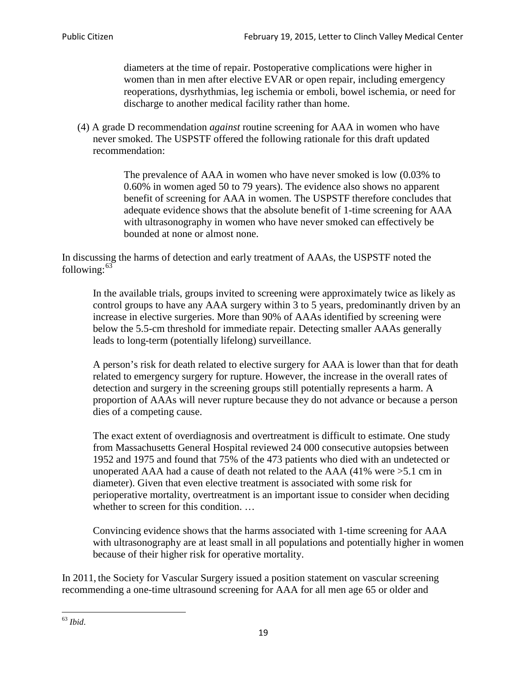diameters at the time of repair. Postoperative complications were higher in women than in men after elective EVAR or open repair, including emergency reoperations, dysrhythmias, leg ischemia or emboli, bowel ischemia, or need for discharge to another medical facility rather than home.

(4) A grade D recommendation *against* routine screening for AAA in women who have never smoked. The USPSTF offered the following rationale for this draft updated recommendation:

> The prevalence of AAA in women who have never smoked is low (0.03% to 0.60% in women aged 50 to 79 years). The evidence also shows no apparent benefit of screening for AAA in women. The USPSTF therefore concludes that adequate evidence shows that the absolute benefit of 1-time screening for AAA with ultrasonography in women who have never smoked can effectively be bounded at none or almost none.

In discussing the harms of detection and early treatment of AAAs, the USPSTF noted the following: $63$ 

In the available trials, groups invited to screening were approximately twice as likely as control groups to have any AAA surgery within 3 to 5 years, predominantly driven by an increase in elective surgeries. More than 90% of AAAs identified by screening were below the 5.5-cm threshold for immediate repair. Detecting smaller AAAs generally leads to long-term (potentially lifelong) surveillance.

A person's risk for death related to elective surgery for AAA is lower than that for death related to emergency surgery for rupture. However, the increase in the overall rates of detection and surgery in the screening groups still potentially represents a harm. A proportion of AAAs will never rupture because they do not advance or because a person dies of a competing cause.

The exact extent of overdiagnosis and overtreatment is difficult to estimate. One study from Massachusetts General Hospital reviewed 24 000 consecutive autopsies between 1952 and 1975 and found that 75% of the 473 patients who died with an undetected or unoperated AAA had a cause of death not related to the AAA (41% were >5.1 cm in diameter). Given that even elective treatment is associated with some risk for perioperative mortality, overtreatment is an important issue to consider when deciding whether to screen for this condition....

Convincing evidence shows that the harms associated with 1-time screening for AAA with ultrasonography are at least small in all populations and potentially higher in women because of their higher risk for operative mortality.

In 2011, the Society for Vascular Surgery issued a position statement on vascular screening recommending a one-time ultrasound screening for AAA for all men age 65 or older and

<span id="page-18-0"></span><sup>63</sup> *Ibid*.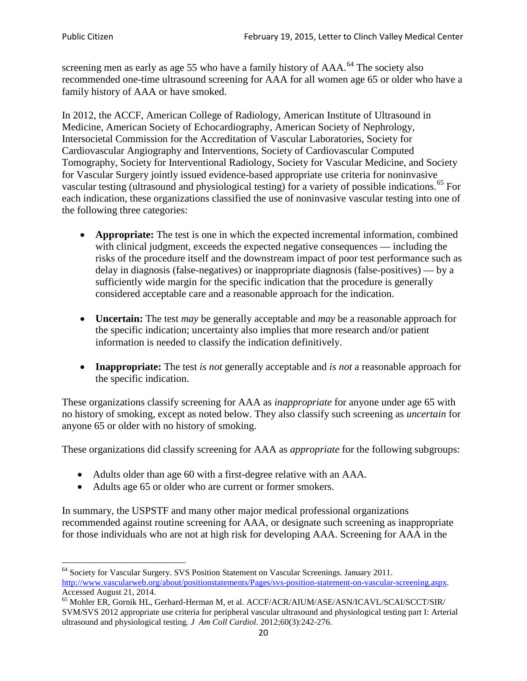screening men as early as age 55 who have a family history of AAA.<sup>[64](#page-19-0)</sup> The society also recommended one-time ultrasound screening for AAA for all women age 65 or older who have a family history of AAA or have smoked.

In 2012, the ACCF, American College of Radiology, American Institute of Ultrasound in Medicine, American Society of Echocardiography, American Society of Nephrology, Intersocietal Commission for the Accreditation of Vascular Laboratories, Society for Cardiovascular Angiography and Interventions, Society of Cardiovascular Computed Tomography, Society for Interventional Radiology, Society for Vascular Medicine, and Society for Vascular Surgery jointly issued evidence-based appropriate use criteria for noninvasive vascular testing (ultrasound and physiological testing) for a variety of possible indications.<sup>[65](#page-19-1)</sup> For each indication, these organizations classified the use of noninvasive vascular testing into one of the following three categories:

- **Appropriate:** The test is one in which the expected incremental information, combined with clinical judgment, exceeds the expected negative consequences — including the risks of the procedure itself and the downstream impact of poor test performance such as delay in diagnosis (false-negatives) or inappropriate diagnosis (false-positives) — by a sufficiently wide margin for the specific indication that the procedure is generally considered acceptable care and a reasonable approach for the indication.
- **Uncertain:** The test *may* be generally acceptable and *may* be a reasonable approach for the specific indication; uncertainty also implies that more research and/or patient information is needed to classify the indication definitively.
- **Inappropriate:** The test *is not* generally acceptable and *is not* a reasonable approach for the specific indication.

These organizations classify screening for AAA as *inappropriate* for anyone under age 65 with no history of smoking, except as noted below. They also classify such screening as *uncertain* for anyone 65 or older with no history of smoking.

These organizations did classify screening for AAA as *appropriate* for the following subgroups:

- Adults older than age 60 with a first-degree relative with an AAA.
- Adults age 65 or older who are current or former smokers.

In summary, the USPSTF and many other major medical professional organizations recommended against routine screening for AAA, or designate such screening as inappropriate for those individuals who are not at high risk for developing AAA. Screening for AAA in the

<span id="page-19-0"></span><sup>64</sup> Society for Vascular Surgery. SVS Position Statement on Vascular Screenings. January 2011. [http://www.vascularweb.org/about/positionstatements/Pages/svs-position-statement-on-vascular-screening.aspx.](http://www.vascularweb.org/about/positionstatements/Pages/svs-position-statement-on-vascular-screening.aspx) 

<span id="page-19-1"></span>Accessed August 21, 2014.<br><sup>65</sup> Mohler ER, Gornik HL, Gerhard-Herman M, et al. ACCF/ACR/AIUM/ASE/ASN/ICAVL/SCAI/SCCT/SIR/ SVM/SVS 2012 appropriate use criteria for peripheral vascular ultrasound and physiological testing part I: Arterial ultrasound and physiological testing*. J Am Coll Cardiol*. 2012;60(3):242-276.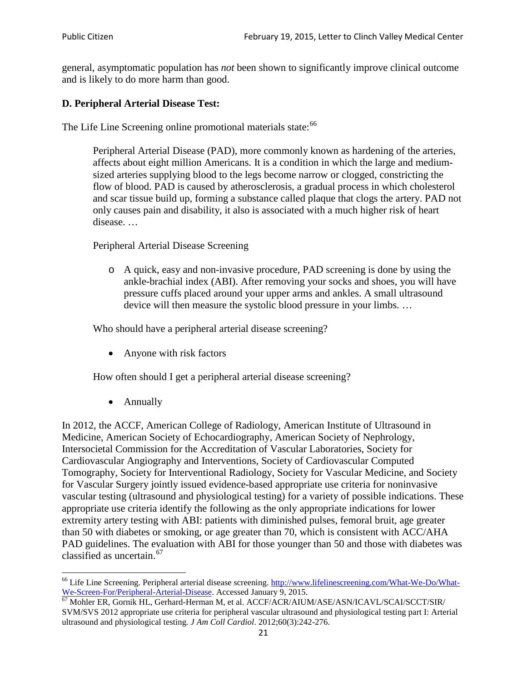general, asymptomatic population has *not* been shown to significantly improve clinical outcome and is likely to do more harm than good.

### **D. Peripheral Arterial Disease Test:**

The Life Line Screening online promotional materials state:<sup>[66](#page-20-0)</sup>

Peripheral Arterial Disease (PAD), more commonly known as hardening of the arteries, affects about eight million Americans. It is a condition in which the large and mediumsized arteries supplying blood to the legs become narrow or clogged, constricting the flow of blood. PAD is caused by atherosclerosis, a gradual process in which cholesterol and scar tissue build up, forming a substance called plaque that clogs the artery. PAD not only causes pain and disability, it also is associated with a much higher risk of heart disease. …

Peripheral Arterial Disease Screening

o A quick, easy and non-invasive procedure, PAD screening is done by using the ankle-brachial index (ABI). After removing your socks and shoes, you will have pressure cuffs placed around your upper arms and ankles. A small ultrasound device will then measure the systolic blood pressure in your limbs. …

Who should have a peripheral arterial disease screening?

• Anyone with risk factors

How often should I get a peripheral arterial disease screening?

• Annually

In 2012, the ACCF, American College of Radiology, American Institute of Ultrasound in Medicine, American Society of Echocardiography, American Society of Nephrology, Intersocietal Commission for the Accreditation of Vascular Laboratories, Society for Cardiovascular Angiography and Interventions, Society of Cardiovascular Computed Tomography, Society for Interventional Radiology, Society for Vascular Medicine, and Society for Vascular Surgery jointly issued evidence-based appropriate use criteria for noninvasive vascular testing (ultrasound and physiological testing) for a variety of possible indications. These appropriate use criteria identify the following as the only appropriate indications for lower extremity artery testing with ABI: patients with diminished pulses, femoral bruit, age greater than 50 with diabetes or smoking, or age greater than 70, which is consistent with ACC/AHA PAD guidelines. The evaluation with ABI for those younger than 50 and those with diabetes was classified as uncertain.<sup>[67](#page-20-1)</sup>

<span id="page-20-0"></span><sup>&</sup>lt;sup>66</sup> Life Line Screening. Peripheral arterial disease screening. [http://www.lifelinescreening.com/What-We-Do/What-](http://www.lifelinescreening.com/What-We-Do/What-We-Screen-For/Peripheral-Arterial-Disease)[We-Screen-For/Peripheral-Arterial-Disease.](http://www.lifelinescreening.com/What-We-Do/What-We-Screen-For/Peripheral-Arterial-Disease) Accessed January 9, 2015.<br><sup>67</sup> Mohler ER, Gornik HL, Gerhard-Herman M, et al. ACCF/ACR/AIUM/ASE/ASN/ICAVL/SCAI/SCCT/SIR/

<span id="page-20-1"></span>SVM/SVS 2012 appropriate use criteria for peripheral vascular ultrasound and physiological testing part I: Arterial ultrasound and physiological testing. *J Am Coll Cardiol*. 2012;60(3):242-276.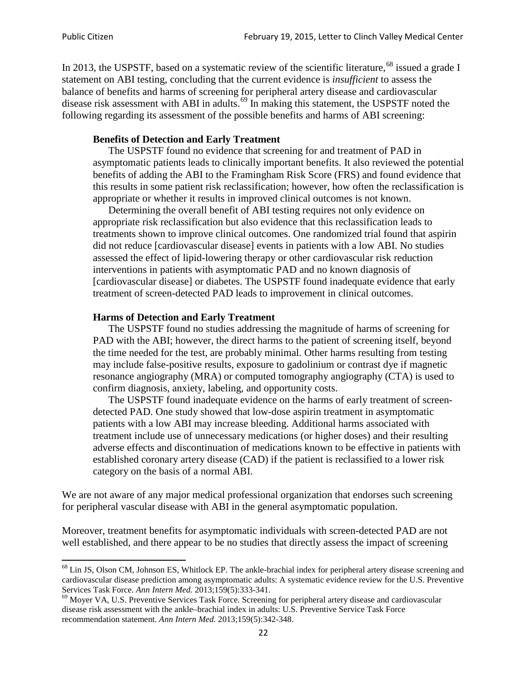In 2013, the USPSTF, based on a systematic review of the scientific literature,<sup>[68](#page-21-0)</sup> issued a grade I statement on ABI testing, concluding that the current evidence is *insufficient* to assess the balance of benefits and harms of screening for peripheral artery disease and cardiovascular disease risk assessment with ABI in adults.<sup>[69](#page-21-1)</sup> In making this statement, the USPSTF noted the following regarding its assessment of the possible benefits and harms of ABI screening:

#### **Benefits of Detection and Early Treatment**

The USPSTF found no evidence that screening for and treatment of PAD in asymptomatic patients leads to clinically important benefits. It also reviewed the potential benefits of adding the ABI to the Framingham Risk Score (FRS) and found evidence that this results in some patient risk reclassification; however, how often the reclassification is appropriate or whether it results in improved clinical outcomes is not known.

Determining the overall benefit of ABI testing requires not only evidence on appropriate risk reclassification but also evidence that this reclassification leads to treatments shown to improve clinical outcomes. One randomized trial found that aspirin did not reduce [cardiovascular disease] events in patients with a low ABI. No studies assessed the effect of lipid-lowering therapy or other cardiovascular risk reduction interventions in patients with asymptomatic PAD and no known diagnosis of [cardiovascular disease] or diabetes. The USPSTF found inadequate evidence that early treatment of screen-detected PAD leads to improvement in clinical outcomes.

#### **Harms of Detection and Early Treatment**

The USPSTF found no studies addressing the magnitude of harms of screening for PAD with the ABI; however, the direct harms to the patient of screening itself, beyond the time needed for the test, are probably minimal. Other harms resulting from testing may include false-positive results, exposure to gadolinium or contrast dye if magnetic resonance angiography (MRA) or computed tomography angiography (CTA) is used to confirm diagnosis, anxiety, labeling, and opportunity costs.

The USPSTF found inadequate evidence on the harms of early treatment of screendetected PAD. One study showed that low-dose aspirin treatment in asymptomatic patients with a low ABI may increase bleeding. Additional harms associated with treatment include use of unnecessary medications (or higher doses) and their resulting adverse effects and discontinuation of medications known to be effective in patients with established coronary artery disease (CAD) if the patient is reclassified to a lower risk category on the basis of a normal ABI.

We are not aware of any major medical professional organization that endorses such screening for peripheral vascular disease with ABI in the general asymptomatic population.

Moreover, treatment benefits for asymptomatic individuals with screen-detected PAD are not well established, and there appear to be no studies that directly assess the impact of screening

<span id="page-21-0"></span><sup>&</sup>lt;sup>68</sup> Lin JS, Olson CM, Johnson ES, Whitlock EP. The ankle-brachial index for peripheral artery disease screening and cardiovascular disease prediction among asymptomatic adults: A systematic evidence review for the U.S. Preventive Services Task Force. *Ann Intern Med.* 2013;159(5):333-341.<br><sup>69</sup> Moyer VA, U.S. Preventive Services Task Force. Screening for peripheral artery disease and cardiovascular

<span id="page-21-1"></span>disease risk assessment with the ankle–brachial index in adults: U.S. Preventive Service Task Force recommendation statement. *Ann Intern Med.* 2013;159(5):342-348.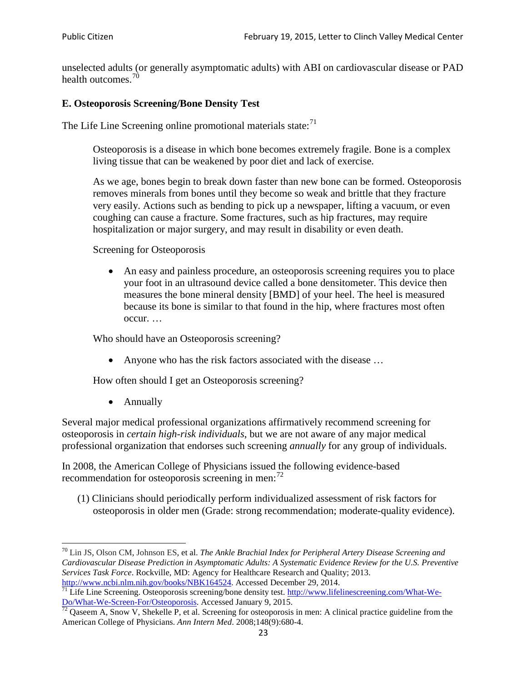unselected adults (or generally asymptomatic adults) with ABI on cardiovascular disease or PAD health outcomes.<sup>[70](#page-22-0)</sup>

### **E. Osteoporosis Screening/Bone Density Test**

The Life Line Screening online promotional materials state: $71$ 

Osteoporosis is a disease in which bone becomes extremely fragile. Bone is a complex living tissue that can be weakened by poor diet and lack of exercise.

As we age, bones begin to break down faster than new bone can be formed. Osteoporosis removes minerals from bones until they become so weak and brittle that they fracture very easily. Actions such as bending to pick up a newspaper, lifting a vacuum, or even coughing can cause a fracture. Some fractures, such as hip fractures, may require hospitalization or major surgery, and may result in disability or even death.

Screening for Osteoporosis

• An easy and painless procedure, an osteoporosis screening requires you to place your foot in an ultrasound device called a bone densitometer. This device then measures the bone mineral density [BMD] of your heel. The heel is measured because its bone is similar to that found in the hip, where fractures most often occur. …

Who should have an Osteoporosis screening?

• Anyone who has the risk factors associated with the disease ...

How often should I get an Osteoporosis screening?

• Annually

Several major medical professional organizations affirmatively recommend screening for osteoporosis in *certain high-risk individuals*, but we are not aware of any major medical professional organization that endorses such screening *annually* for any group of individuals.

In 2008, the American College of Physicians issued the following evidence-based recommendation for osteoporosis screening in men: $^{72}$  $^{72}$  $^{72}$ 

(1) Clinicians should periodically perform individualized assessment of risk factors for osteoporosis in older men (Grade: strong recommendation; moderate-quality evidence).

<span id="page-22-0"></span><sup>70</sup> [Lin JS,](http://www.ncbi.nlm.nih.gov/pubmed?term=Lin%20JS%5BAuthor%5D&cauthor=true&cauthor_uid=24156115) [Olson CM,](http://www.ncbi.nlm.nih.gov/pubmed?term=Olson%20CM%5BAuthor%5D&cauthor=true&cauthor_uid=24156115) [Johnson ES,](http://www.ncbi.nlm.nih.gov/pubmed?term=Johnson%20ES%5BAuthor%5D&cauthor=true&cauthor_uid=24156115) et al. *The Ankle Brachial Index for Peripheral Artery Disease Screening and Cardiovascular Disease Prediction in Asymptomatic Adults: A Systematic Evidence Review for the U.S. Preventive Services Task Force*. Rockville, MD: Agency for Healthcare Research and Quality; 2013.<br>http://www.ncbi.nlm.nih.gov/books/NBK164524. Accessed December 29, 2014.

<span id="page-22-1"></span> $\frac{1}{71}$  Life Line Screening. Osteoporosis screening/bone density test. [http://www.lifelinescreening.com/What-We-](http://www.lifelinescreening.com/What-We-Do/What-We-Screen-For/Osteoporosis)[Do/What-We-Screen-For/Osteoporosis.](http://www.lifelinescreening.com/What-We-Do/What-We-Screen-For/Osteoporosis) Accessed January 9, 2015. <sup>72</sup> Qaseem A, Snow V, Shekelle P, et al. Screening for osteoporosis in men: A clinical practice guideline from the

<span id="page-22-2"></span>American College of Physicians. *Ann Intern Med*. 2008;148(9):680-4.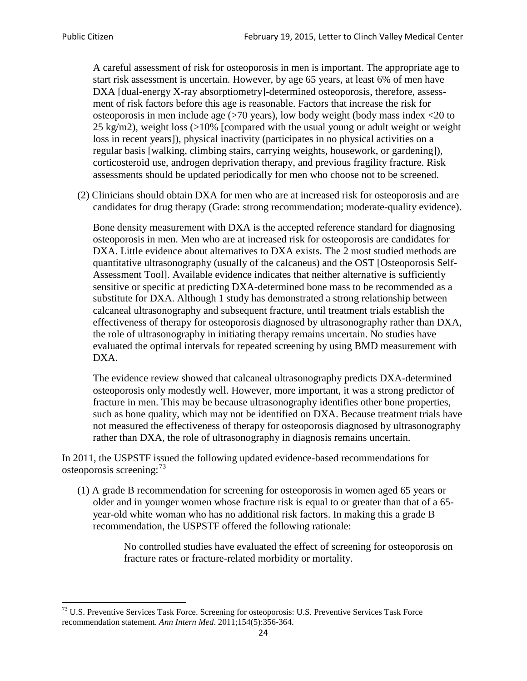A careful assessment of risk for osteoporosis in men is important. The appropriate age to start risk assessment is uncertain. However, by age 65 years, at least 6% of men have DXA [dual-energy X-ray absorptiometry]-determined osteoporosis, therefore, assessment of risk factors before this age is reasonable. Factors that increase the risk for osteoporosis in men include age (>70 years), low body weight (body mass index <20 to 25 kg/m2), weight loss  $\langle$  >10% [compared with the usual young or adult weight or weight loss in recent years]), physical inactivity (participates in no physical activities on a regular basis [walking, climbing stairs, carrying weights, housework, or gardening]), corticosteroid use, androgen deprivation therapy, and previous fragility fracture. Risk assessments should be updated periodically for men who choose not to be screened.

(2) Clinicians should obtain DXA for men who are at increased risk for osteoporosis and are candidates for drug therapy (Grade: strong recommendation; moderate-quality evidence).

Bone density measurement with DXA is the accepted reference standard for diagnosing osteoporosis in men. Men who are at increased risk for osteoporosis are candidates for DXA. Little evidence about alternatives to DXA exists. The 2 most studied methods are quantitative ultrasonography (usually of the calcaneus) and the OST [Osteoporosis Self-Assessment Tool]. Available evidence indicates that neither alternative is sufficiently sensitive or specific at predicting DXA-determined bone mass to be recommended as a substitute for DXA. Although 1 study has demonstrated a strong relationship between calcaneal ultrasonography and subsequent fracture, until treatment trials establish the effectiveness of therapy for osteoporosis diagnosed by ultrasonography rather than DXA, the role of ultrasonography in initiating therapy remains uncertain. No studies have evaluated the optimal intervals for repeated screening by using BMD measurement with DXA.

The evidence review showed that calcaneal ultrasonography predicts DXA-determined osteoporosis only modestly well. However, more important, it was a strong predictor of fracture in men. This may be because ultrasonography identifies other bone properties, such as bone quality, which may not be identified on DXA. Because treatment trials have not measured the effectiveness of therapy for osteoporosis diagnosed by ultrasonography rather than DXA, the role of ultrasonography in diagnosis remains uncertain.

In 2011, the USPSTF issued the following updated evidence-based recommendations for osteoporosis screening:<sup>[73](#page-23-0)</sup>

(1) A grade B recommendation for screening for osteoporosis in women aged 65 years or older and in younger women whose fracture risk is equal to or greater than that of a 65 year-old white woman who has no additional risk factors. In making this a grade B recommendation, the USPSTF offered the following rationale:

> No controlled studies have evaluated the effect of screening for osteoporosis on fracture rates or fracture-related morbidity or mortality.

<span id="page-23-0"></span><sup>&</sup>lt;sup>73</sup> U.S. Preventive Services Task Force. Screening for osteoporosis: U.S. Preventive Services Task Force recommendation statement. *Ann Intern Med*. 2011;154(5):356-364.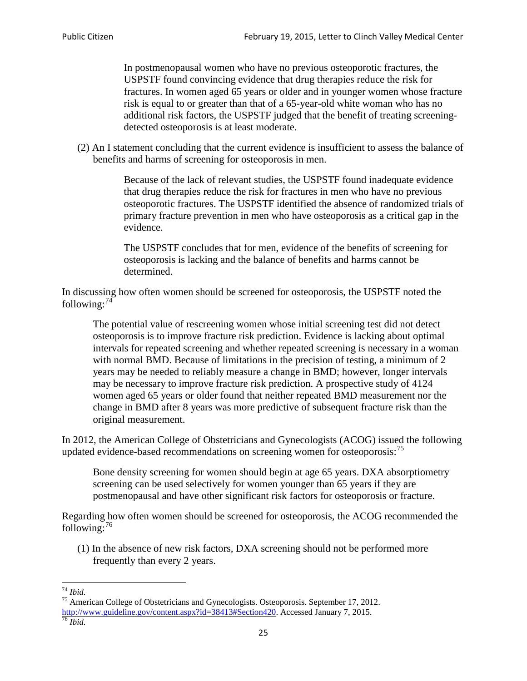In postmenopausal women who have no previous osteoporotic fractures, the USPSTF found convincing evidence that drug therapies reduce the risk for fractures. In women aged 65 years or older and in younger women whose fracture risk is equal to or greater than that of a 65-year-old white woman who has no additional risk factors, the USPSTF judged that the benefit of treating screeningdetected osteoporosis is at least moderate.

(2) An I statement concluding that the current evidence is insufficient to assess the balance of benefits and harms of screening for osteoporosis in men.

> Because of the lack of relevant studies, the USPSTF found inadequate evidence that drug therapies reduce the risk for fractures in men who have no previous osteoporotic fractures. The USPSTF identified the absence of randomized trials of primary fracture prevention in men who have osteoporosis as a critical gap in the evidence.

The USPSTF concludes that for men, evidence of the benefits of screening for osteoporosis is lacking and the balance of benefits and harms cannot be determined.

In discussing how often women should be screened for osteoporosis, the USPSTF noted the following: $74$ 

The potential value of rescreening women whose initial screening test did not detect osteoporosis is to improve fracture risk prediction. Evidence is lacking about optimal intervals for repeated screening and whether repeated screening is necessary in a woman with normal BMD. Because of limitations in the precision of testing, a minimum of 2 years may be needed to reliably measure a change in BMD; however, longer intervals may be necessary to improve fracture risk prediction. A prospective study of 4124 women aged 65 years or older found that neither repeated BMD measurement nor the change in BMD after 8 years was more predictive of subsequent fracture risk than the original measurement.

In 2012, the American College of Obstetricians and Gynecologists (ACOG) issued the following updated evidence-based recommendations on screening women for osteoporosis:<sup>[75](#page-24-1)</sup>

Bone density screening for women should begin at age 65 years. DXA absorptiometry screening can be used selectively for women younger than 65 years if they are postmenopausal and have other significant risk factors for osteoporosis or fracture.

Regarding how often women should be screened for osteoporosis, the ACOG recommended the following: $^{76}$  $^{76}$  $^{76}$ 

(1) In the absence of new risk factors, DXA screening should not be performed more frequently than every 2 years.

<span id="page-24-2"></span><span id="page-24-1"></span><span id="page-24-0"></span><sup>74</sup> *Ibid.* <sup>75</sup> American College of Obstetricians and Gynecologists. Osteoporosis. September 17, 2012. [http://www.guideline.gov/content.aspx?id=38413#Section420.](http://www.guideline.gov/content.aspx?id=38413#Section420) Accessed January 7, 2015.<br><sup>76</sup> *Ibid.*